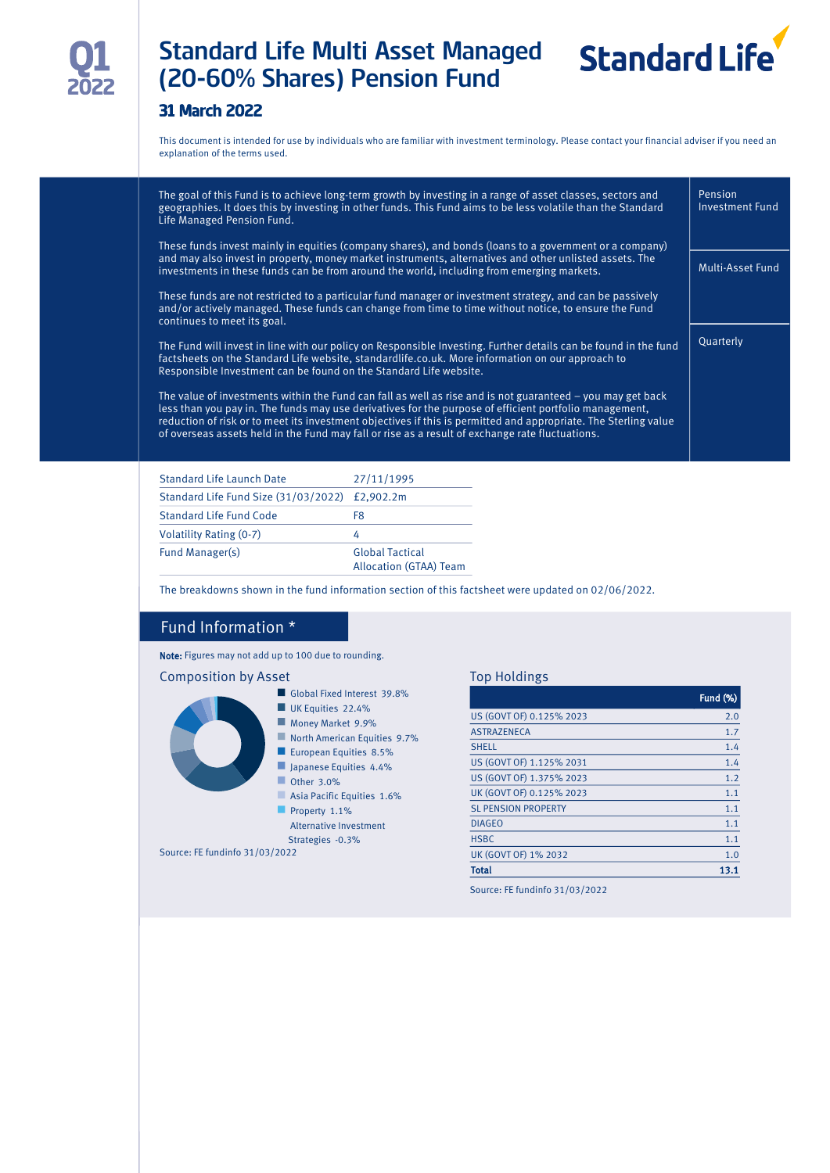

# Standard Life Multi Asset Managed Standard Life (20-60% Shares) Pension Fund



## 31 March 2022

This document is intended for use by individuals who are familiar with investment terminology. Please contact your financial adviser if you need an explanation of the terms used.

| The goal of this Fund is to achieve long-term growth by investing in a range of asset classes, sectors and<br>geographies. It does this by investing in other funds. This Fund aims to be less volatile than the Standard<br>Life Managed Pension Fund.                                                       | Pension<br><b>Investment Fund</b> |
|---------------------------------------------------------------------------------------------------------------------------------------------------------------------------------------------------------------------------------------------------------------------------------------------------------------|-----------------------------------|
| These funds invest mainly in equities (company shares), and bonds (loans to a government or a company)<br>and may also invest in property, money market instruments, alternatives and other unlisted assets. The<br>investments in these funds can be from around the world, including from emerging markets. | Multi-Asset Fund                  |
| These funds are not restricted to a particular fund manager or investment strategy, and can be passively<br>and/or actively managed. These funds can change from time to time without notice, to ensure the Fund<br>continues to meet its goal.                                                               |                                   |
| The Fund will invest in line with our policy on Responsible Investing. Further details can be found in the fund<br>factsheets on the Standard Life website, standardlife.co.uk. More information on our approach to                                                                                           | Quarterly                         |

The value of investments within the Fund can fall as well as rise and is not guaranteed – you may get back less than you pay in. The funds may use derivatives for the purpose of efficient portfolio management, reduction of risk or to meet its investment objectives if this is permitted and appropriate. The Sterling value of overseas assets held in the Fund may fall or rise as a result of exchange rate fluctuations.

| Standard Life Launch Date                      | 27/11/1995                                       |
|------------------------------------------------|--------------------------------------------------|
| Standard Life Fund Size (31/03/2022) £2,902.2m |                                                  |
| Standard Life Fund Code                        | F8                                               |
| Volatility Rating (0-7)                        | 4                                                |
| Fund Manager(s)                                | <b>Global Tactical</b><br>Allocation (GTAA) Team |

Responsible Investment can be found on the Standard Life website.

The breakdowns shown in the fund information section of this factsheet were updated on 02/06/2022.

## Fund Information \*

Note: Figures may not add up to 100 due to rounding.

#### Composition by Asset



Source: FE fundinfo 31/03/2022

#### Top Holdings

|                            | <b>Fund (%)</b> |
|----------------------------|-----------------|
| US (GOVT OF) 0.125% 2023   | 2.0             |
| <b>ASTRAZENECA</b>         | 1.7             |
| <b>SHELL</b>               | 1.4             |
| US (GOVT OF) 1.125% 2031   | 1.4             |
| US (GOVT OF) 1.375% 2023   | 1.2             |
| UK (GOVT OF) 0.125% 2023   | 1.1             |
| <b>SL PENSION PROPERTY</b> | 1.1             |
| <b>DIAGEO</b>              | 1.1             |
| <b>HSBC</b>                | 1.1             |
| UK (GOVT OF) 1% 2032       | 1.0             |
| Total                      | 13.1            |

Source: FE fundinfo 31/03/2022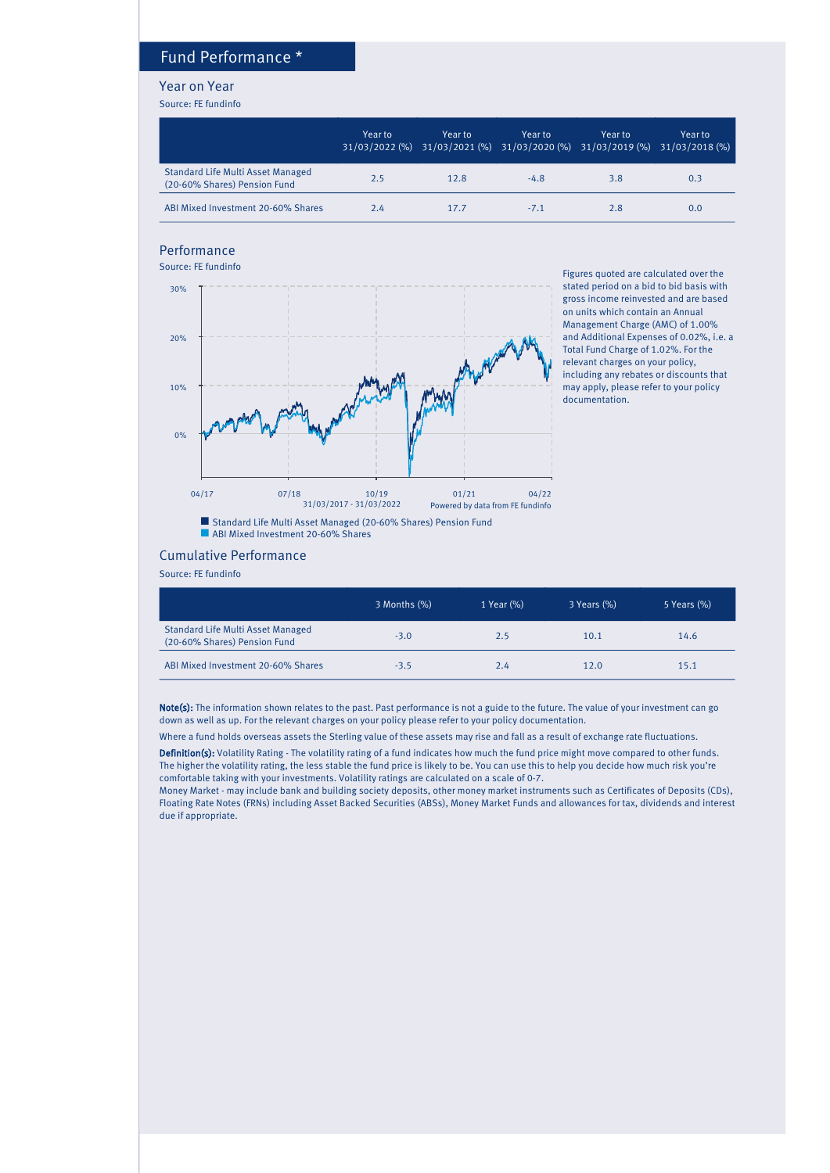## Fund Performance \*

#### Year on Year

Source: FE fundinfo

|                                                                          | Year to | Year to<br>31/03/2022 (%) 31/03/2021 (%) 31/03/2020 (%) 31/03/2019 (%) 31/03/2018 (%) | Year to | Year to | Year to |
|--------------------------------------------------------------------------|---------|---------------------------------------------------------------------------------------|---------|---------|---------|
| <b>Standard Life Multi Asset Managed</b><br>(20-60% Shares) Pension Fund | 2.5     | 12.8                                                                                  | $-4.8$  | 3.8     | 0.3     |
| ABI Mixed Investment 20-60% Shares                                       | 2.4     | 17.7                                                                                  | $-7.1$  | 2.8     | 0.0     |

### Performance



Figures quoted are calculated over the stated period on a bid to bid basis with gross income reinvested and are based on units which contain an Annual Management Charge (AMC) of 1.00% and Additional Expenses of 0.02%, i.e. a Total Fund Charge of 1.02%. For the relevant charges on your policy, including any rebates or discounts that may apply, please refer to your policy documentation.

#### Cumulative Performance

Source: FE fundinfo

|                                                                          | 3 Months (%) | 1 Year (%) | 3 Years (%) | 5 Years (%) |
|--------------------------------------------------------------------------|--------------|------------|-------------|-------------|
| <b>Standard Life Multi Asset Managed</b><br>(20-60% Shares) Pension Fund | $-3.0$       | 2.5        | 10.1        | 14.6        |
| ABI Mixed Investment 20-60% Shares                                       | $-3.5$       | 2.4        | 12.0        | 15.1        |

Note(s): The information shown relates to the past. Past performance is not a guide to the future. The value of your investment can go down as well as up. For the relevant charges on your policy please refer to your policy documentation.

Where a fund holds overseas assets the Sterling value of these assets may rise and fall as a result of exchange rate fluctuations.

Definition(s): Volatility Rating - The volatility rating of a fund indicates how much the fund price might move compared to other funds. The higher the volatility rating, the less stable the fund price is likely to be. You can use this to help you decide how much risk you're comfortable taking with your investments. Volatility ratings are calculated on a scale of 0-7.

Money Market - may include bank and building society deposits, other money market instruments such as Certificates of Deposits (CDs), Floating Rate Notes (FRNs) including Asset Backed Securities (ABSs), Money Market Funds and allowances for tax, dividends and interest due if appropriate.